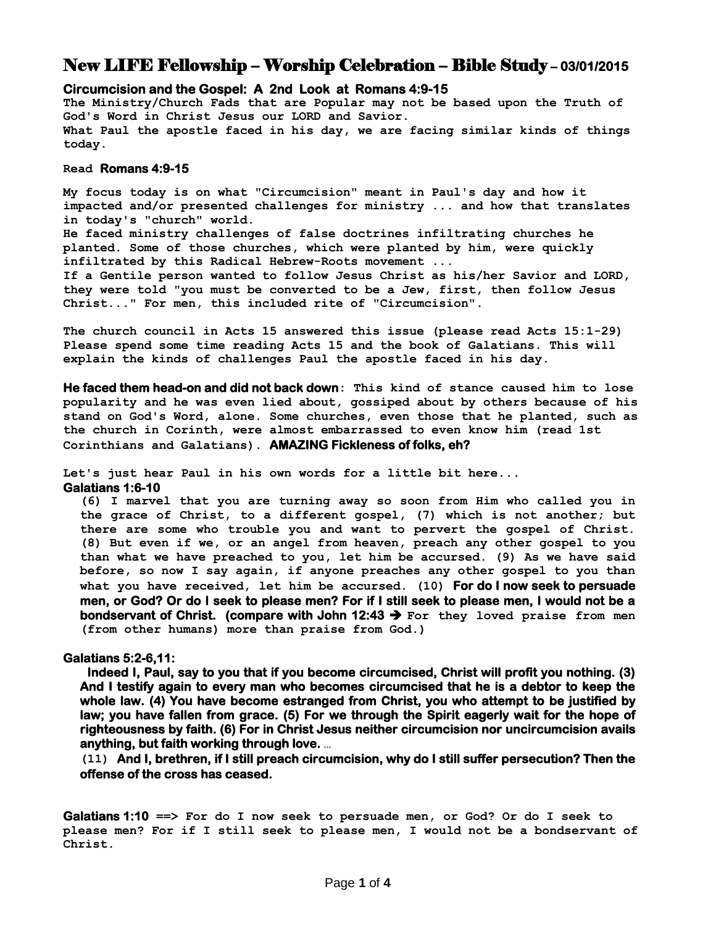## New LIFE Fellowship – Worship Celebration – Bible Study **– 03/01/2015**

## **Circumcision and the Gospel: A 2nd Look at Romans 4:9-15**

**The Ministry/Church Fads that are Popular may not be based upon the Truth of God's Word in Christ Jesus our LORD and Savior. What Paul the apostle faced in his day, we are facing similar kinds of things today.**

## **Read Romans 4:9-15**

**My focus today is on what "Circumcision" meant in Paul's day and how it impacted and/or presented challenges for ministry ... and how that translates in today's "church" world.**

**He faced ministry challenges of false doctrines infiltrating churches he planted. Some of those churches, which were planted by him, were quickly infiltrated by this Radical Hebrew-Roots movement ...**

**If a Gentile person wanted to follow Jesus Christ as his/her Savior and LORD, they were told "you must be converted to be a Jew, first, then follow Jesus Christ..." For men, this included rite of "Circumcision".**

**The church council in Acts 15 answered this issue (please read Acts 15:1-29) Please spend some time reading Acts 15 and the book of Galatians. This will explain the kinds of challenges Paul the apostle faced in his day.** 

**He faced them head-on and did not back down: This kind of stance caused him to lose popularity and he was even lied about, gossiped about by others because of his stand on God's Word, alone. Some churches, even those that he planted, such as the church in Corinth, were almost embarrassed to even know him (read 1st Corinthians and Galatians). AMAZING Fickleness of folks, eh?** 

**Let's just hear Paul in his own words for a little bit here...**

**Galatians 1:6-10** 

**(6) I marvel that you are turning away so soon from Him who called you in the grace of Christ, to a different gospel, (7) which is not another; but there are some who trouble you and want to pervert the gospel of Christ. (8) But even if we, or an angel from heaven, preach any other gospel to you than what we have preached to you, let him be accursed. (9) As we have said before, so now I say again, if anyone preaches any other gospel to you than what you have received, let him be accursed. (10) For do I now seek to persuade men, or God? Or do I seek to please men? For if I still seek to please men, I would not be a bondservant of Christ. (compare with John 12:43 For they loved praise from men (from other humans) more than praise from God.)**

## **Galatians 5:2-6,11:**

**Indeed I, Paul, say to you that if you become circumcised, Christ will profit you nothing. (3) And I testify again to every man who becomes circumcised that he is a debtor to keep the whole law. (4) You have become estranged from Christ, you who attempt to be justified by law; you have fallen from grace. (5) For we through the Spirit eagerly wait for the hope of righteousness by faith. (6) For in Christ Jesus neither circumcision nor uncircumcision avails anything, but faith working through love. …**

**(11) And I, brethren, if I still preach circumcision, why do I still suffer persecution? Then the offense of the cross has ceased.**

**Galatians 1:10 ==> For do I now seek to persuade men, or God? Or do I seek to please men? For if I still seek to please men, I would not be a bondservant of Christ.**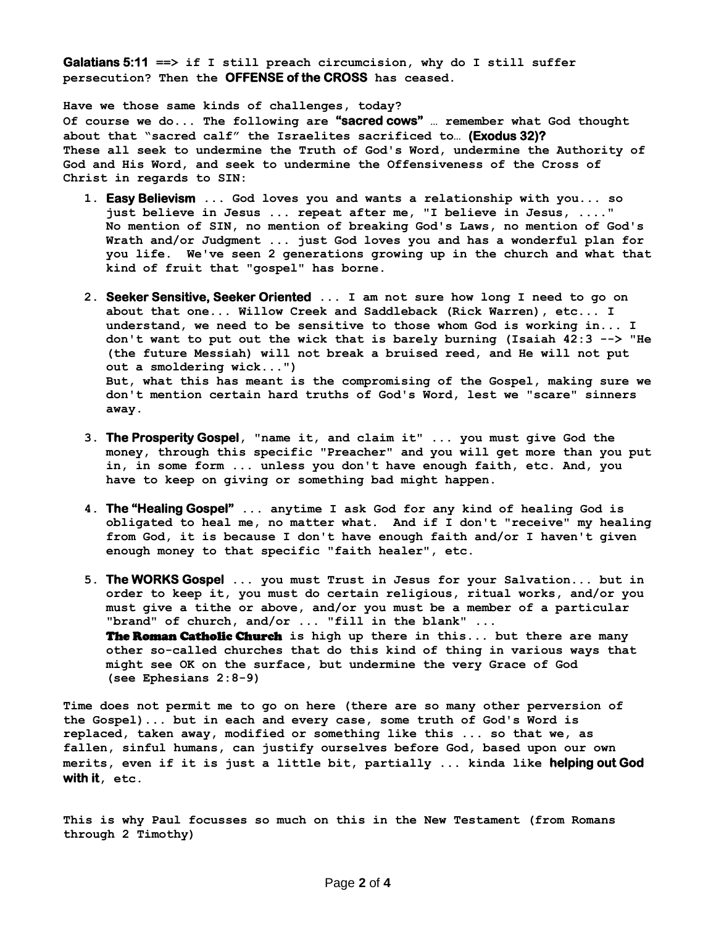**Galatians 5:11 ==> if I still preach circumcision, why do I still suffer persecution? Then the OFFENSE of the CROSS has ceased.**

**Have we those same kinds of challenges, today? Of course we do... The following are "sacred cows" … remember what God thought about that "sacred calf" the Israelites sacrificed to… (Exodus 32)? These all seek to undermine the Truth of God's Word, undermine the Authority of God and His Word, and seek to undermine the Offensiveness of the Cross of Christ in regards to SIN:**

- **1. Easy Believism ... God loves you and wants a relationship with you... so just believe in Jesus ... repeat after me, "I believe in Jesus, ...." No mention of SIN, no mention of breaking God's Laws, no mention of God's Wrath and/or Judgment ... just God loves you and has a wonderful plan for you life. We've seen 2 generations growing up in the church and what that kind of fruit that "gospel" has borne.**
- **2. Seeker Sensitive, Seeker Oriented ... I am not sure how long I need to go on about that one... Willow Creek and Saddleback (Rick Warren), etc... I understand, we need to be sensitive to those whom God is working in... I don't want to put out the wick that is barely burning (Isaiah 42:3 --> "He (the future Messiah) will not break a bruised reed, and He will not put out a smoldering wick...") But, what this has meant is the compromising of the Gospel, making sure we don't mention certain hard truths of God's Word, lest we "scare" sinners away.**
- **3. The Prosperity Gospel, "name it, and claim it" ... you must give God the money, through this specific "Preacher" and you will get more than you put in, in some form ... unless you don't have enough faith, etc. And, you have to keep on giving or something bad might happen.**
- **4. The "Healing Gospel" ... anytime I ask God for any kind of healing God is obligated to heal me, no matter what. And if I don't "receive" my healing from God, it is because I don't have enough faith and/or I haven't given enough money to that specific "faith healer", etc.**
- **5. The WORKS Gospel ... you must Trust in Jesus for your Salvation... but in order to keep it, you must do certain religious, ritual works, and/or you must give a tithe or above, and/or you must be a member of a particular "brand" of church, and/or ... "fill in the blank" ...**  The Roman Catholic Church **is high up there in this... but there are many other so-called churches that do this kind of thing in various ways that might see OK on the surface, but undermine the very Grace of God (see Ephesians 2:8-9)**

**Time does not permit me to go on here (there are so many other perversion of the Gospel)... but in each and every case, some truth of God's Word is replaced, taken away, modified or something like this ... so that we, as fallen, sinful humans, can justify ourselves before God, based upon our own merits, even if it is just a little bit, partially ... kinda like helping out God with it, etc.**

**This is why Paul focusses so much on this in the New Testament (from Romans through 2 Timothy)**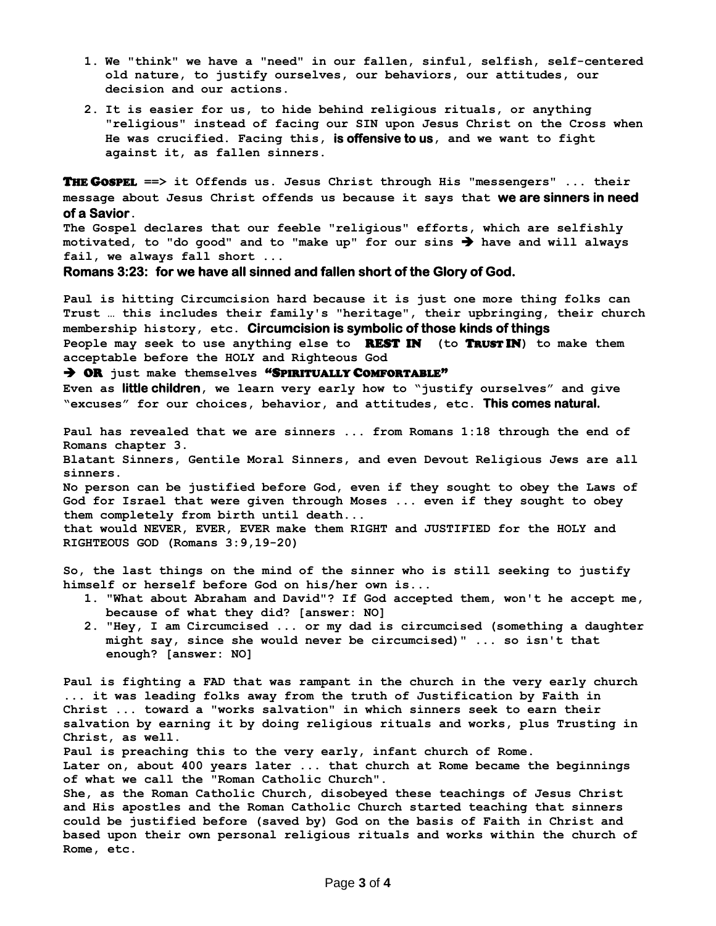- **1. We "think" we have a "need" in our fallen, sinful, selfish, self-centered old nature, to justify ourselves, our behaviors, our attitudes, our decision and our actions.**
- **2. It is easier for us, to hide behind religious rituals, or anything "religious" instead of facing our SIN upon Jesus Christ on the Cross when He was crucified. Facing this, is offensive to us, and we want to fight against it, as fallen sinners.**

THE GOSPEL **==> it Offends us. Jesus Christ through His "messengers" ... their message about Jesus Christ offends us because it says that we are sinners in need of a Savior.**

**The Gospel declares that our feeble "religious" efforts, which are selfishly motivated, to "do good" and to "make up" for our sins have and will always fail, we always fall short ...** 

**Romans 3:23: for we have all sinned and fallen short of the Glory of God.**

**Paul is hitting Circumcision hard because it is just one more thing folks can Trust … this includes their family's "heritage", their upbringing, their church membership history, etc. Circumcision is symbolic of those kinds of things People may seek to use anything else to** REST IN **(to** TRUST IN**) to make them acceptable before the HOLY and Righteous God**

OR **just make themselves** "SPIRITUALLY COMFORTABLE"

**Even as little children, we learn very early how to "justify ourselves" and give "excuses" for our choices, behavior, and attitudes, etc. This comes natural.**

**Paul has revealed that we are sinners ... from Romans 1:18 through the end of Romans chapter 3.** 

**Blatant Sinners, Gentile Moral Sinners, and even Devout Religious Jews are all sinners.**

**No person can be justified before God, even if they sought to obey the Laws of God for Israel that were given through Moses ... even if they sought to obey them completely from birth until death...** 

**that would NEVER, EVER, EVER make them RIGHT and JUSTIFIED for the HOLY and RIGHTEOUS GOD (Romans 3:9,19-20)** 

**So, the last things on the mind of the sinner who is still seeking to justify himself or herself before God on his/her own is...** 

- **1. "What about Abraham and David"? If God accepted them, won't he accept me, because of what they did? [answer: NO]**
- **2. "Hey, I am Circumcised ... or my dad is circumcised (something a daughter might say, since she would never be circumcised)" ... so isn't that enough? [answer: NO]**

**Paul is fighting a FAD that was rampant in the church in the very early church ... it was leading folks away from the truth of Justification by Faith in Christ ... toward a "works salvation" in which sinners seek to earn their salvation by earning it by doing religious rituals and works, plus Trusting in Christ, as well.**

**Paul is preaching this to the very early, infant church of Rome. Later on, about 400 years later ... that church at Rome became the beginnings of what we call the "Roman Catholic Church".**

**She, as the Roman Catholic Church, disobeyed these teachings of Jesus Christ and His apostles and the Roman Catholic Church started teaching that sinners could be justified before (saved by) God on the basis of Faith in Christ and based upon their own personal religious rituals and works within the church of Rome, etc.**